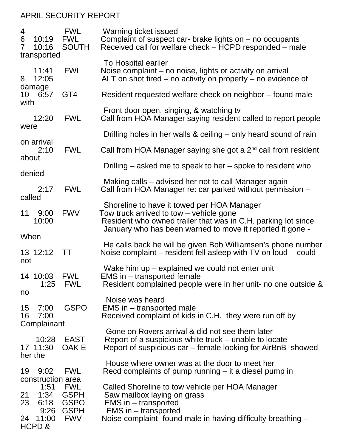## APRIL SECURITY REPORT

| 4<br>6<br>$\overline{7}$ | 10:19<br>10:16<br>transported                              | <b>FWL</b><br><b>FWL</b><br><b>SOUTH</b>                       | Warning ticket issued<br>Complaint of suspect car- brake lights on $-$ no occupants<br>Received call for welfare check – HCPD responded – male                                                         |
|--------------------------|------------------------------------------------------------|----------------------------------------------------------------|--------------------------------------------------------------------------------------------------------------------------------------------------------------------------------------------------------|
| 8                        | 11:41<br>12:05                                             | <b>FWL</b>                                                     | To Hospital earlier<br>Noise complaint – no noise, lights or activity on arrival<br>ALT on shot fired $-$ no activity on property $-$ no evidence of                                                   |
| 10 <sup>1</sup><br>with  | damage<br>6:57                                             | GT <sub>4</sub>                                                | Resident requested welfare check on neighbor – found male                                                                                                                                              |
|                          | 12:20                                                      | <b>FWL</b>                                                     | Front door open, singing, & watching tv<br>Call from HOA Manager saying resident called to report people                                                                                               |
| were                     |                                                            |                                                                | Drilling holes in her walls & ceiling – only heard sound of rain                                                                                                                                       |
| about                    | on arrival<br>2:10                                         | <b>FWL</b>                                                     | Call from HOA Manager saying she got a 2 <sup>nd</sup> call from resident                                                                                                                              |
| denied                   |                                                            |                                                                | Drilling – asked me to speak to her – spoke to resident who                                                                                                                                            |
| called                   | 2:17                                                       | <b>FWL</b>                                                     | Making calls – advised her not to call Manager again<br>Call from HOA Manager re: car parked without permission -                                                                                      |
| 11                       | 9:00<br>10:00                                              | <b>FWV</b>                                                     | Shoreline to have it towed per HOA Manager<br>Tow truck arrived to tow – vehicle gone<br>Resident who owned trailer that was in C.H. parking lot since                                                 |
| When                     |                                                            |                                                                | January who has been warned to move it reported it gone -                                                                                                                                              |
| not                      | 13 12:12                                                   | <b>TT</b>                                                      | He calls back he will be given Bob Williamsen's phone number<br>Noise complaint – resident fell asleep with TV on loud - could                                                                         |
| no                       | 14 10:03<br>1:25                                           | <b>FWL</b><br><b>FWL</b>                                       | Wake him $up$ – explained we could not enter unit<br>EMS in – transported female<br>Resident complained people were in her unit- no one outside &                                                      |
| 15<br>16                 | 7:00<br>7:00<br>Complainant                                | <b>GSPO</b>                                                    | Noise was heard<br>EMS in – transported male<br>Received complaint of kids in C.H. they were run off by                                                                                                |
|                          | 10:28<br>17 11:30<br>her the                               | EAST<br>OAK E                                                  | Gone on Rovers arrival & did not see them later<br>Report of a suspicious white truck – unable to locate<br>Report of suspicious car – female looking for AirBnB showed                                |
| 19                       | 9:02                                                       | <b>FWL</b>                                                     | House where owner was at the door to meet her<br>Recd complaints of pump running $-$ it a diesel pump in                                                                                               |
| 21<br>23<br>24           | construction area<br>1:51<br>1:34<br>6:18<br>9:26<br>11:00 | <b>FWL</b><br><b>GSPH</b><br>GSPO<br><b>GSPH</b><br><b>FWV</b> | Called Shoreline to tow vehicle per HOA Manager<br>Saw mailbox laying on grass<br>$EMS$ in $-$ transported<br>$EMS$ in $-$ transported<br>Noise complaint- found male in having difficulty breathing - |
|                          | HCPD &                                                     |                                                                |                                                                                                                                                                                                        |